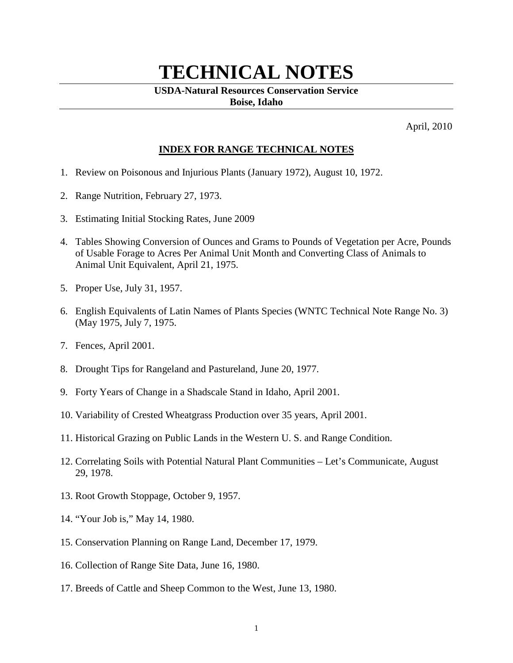# **TECHNICAL NOTES**

#### **USDA-Natural Resources Conservation Service Boise, Idaho**

April, 2010

## **INDEX FOR RANGE TECHNICAL NOTES**

- 1. Review on Poisonous and Injurious Plants (January 1972), August 10, 1972.
- 2. Range Nutrition, February 27, 1973.
- 3. Estimating Initial Stocking Rates, June 2009
- 4. Tables Showing Conversion of Ounces and Grams to Pounds of Vegetation per Acre, Pounds of Usable Forage to Acres Per Animal Unit Month and Converting Class of Animals to Animal Unit Equivalent, April 21, 1975.
- 5. Proper Use, July 31, 1957.
- 6. English Equivalents of Latin Names of Plants Species (WNTC Technical Note Range No. 3) (May 1975, July 7, 1975.
- 7. Fences, April 2001.
- 8. Drought Tips for Rangeland and Pastureland, June 20, 1977.
- 9. Forty Years of Change in a Shadscale Stand in Idaho, April 2001.
- 10. Variability of Crested Wheatgrass Production over 35 years, April 2001.
- 11. Historical Grazing on Public Lands in the Western U. S. and Range Condition.
- 12. Correlating Soils with Potential Natural Plant Communities Let's Communicate, August 29, 1978.
- 13. Root Growth Stoppage, October 9, 1957.
- 14. "Your Job is," May 14, 1980.
- 15. Conservation Planning on Range Land, December 17, 1979.
- 16. Collection of Range Site Data, June 16, 1980.
- 17. Breeds of Cattle and Sheep Common to the West, June 13, 1980.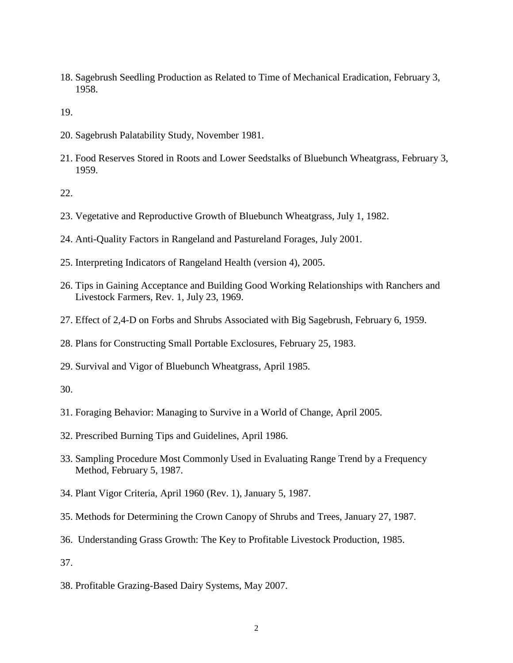18. Sagebrush Seedling Production as Related to Time of Mechanical Eradication, February 3, 1958.

19.

- 20. Sagebrush Palatability Study, November 1981.
- 21. Food Reserves Stored in Roots and Lower Seedstalks of Bluebunch Wheatgrass, February 3, 1959.

## 22.

- 23. Vegetative and Reproductive Growth of Bluebunch Wheatgrass, July 1, 1982.
- 24. Anti-Quality Factors in Rangeland and Pastureland Forages, July 2001.
- 25. Interpreting Indicators of Rangeland Health (version 4), 2005.
- 26. Tips in Gaining Acceptance and Building Good Working Relationships with Ranchers and Livestock Farmers, Rev. 1, July 23, 1969.
- 27. Effect of 2,4-D on Forbs and Shrubs Associated with Big Sagebrush, February 6, 1959.
- 28. Plans for Constructing Small Portable Exclosures, February 25, 1983.
- 29. Survival and Vigor of Bluebunch Wheatgrass, April 1985.

### 30.

- 31. Foraging Behavior: Managing to Survive in a World of Change, April 2005.
- 32. Prescribed Burning Tips and Guidelines, April 1986.
- 33. Sampling Procedure Most Commonly Used in Evaluating Range Trend by a Frequency Method, February 5, 1987.
- 34. Plant Vigor Criteria, April 1960 (Rev. 1), January 5, 1987.
- 35. Methods for Determining the Crown Canopy of Shrubs and Trees, January 27, 1987.
- 36. Understanding Grass Growth: The Key to Profitable Livestock Production, 1985.

37.

38. Profitable Grazing-Based Dairy Systems, May 2007.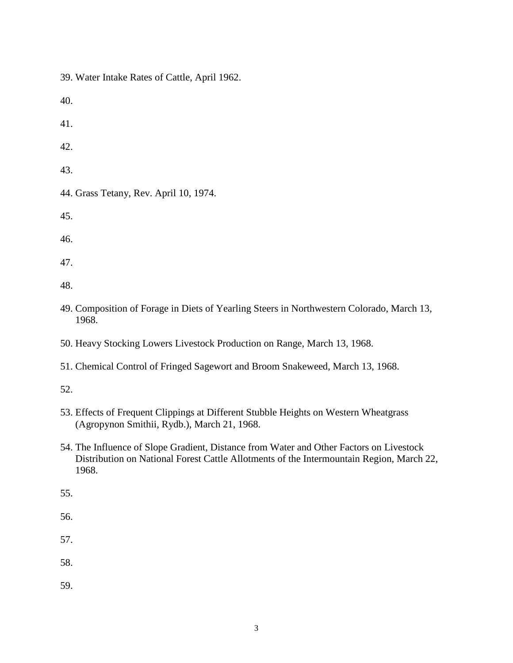39. Water Intake Rates of Cattle, April 1962.

40.

41.

42.

43.

44. Grass Tetany, Rev. April 10, 1974.

45.

46.

47.

48.

- 49. Composition of Forage in Diets of Yearling Steers in Northwestern Colorado, March 13, 1968.
- 50. Heavy Stocking Lowers Livestock Production on Range, March 13, 1968.
- 51. Chemical Control of Fringed Sagewort and Broom Snakeweed, March 13, 1968.

52.

- 53. Effects of Frequent Clippings at Different Stubble Heights on Western Wheatgrass (Agropynon Smithii, Rydb.), March 21, 1968.
- 54. The Influence of Slope Gradient, Distance from Water and Other Factors on Livestock Distribution on National Forest Cattle Allotments of the Intermountain Region, March 22, 1968.

55.

56.

57.

58.

59.